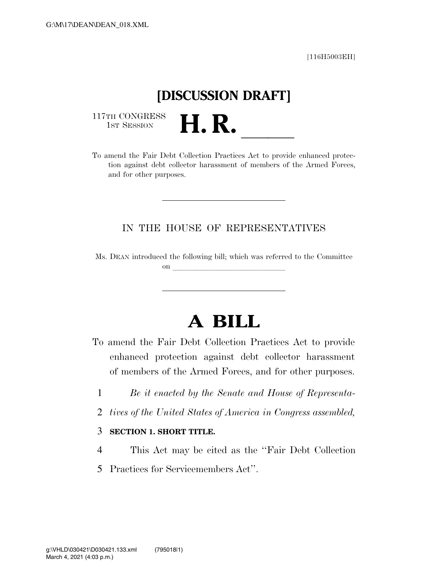[116H5003EH]

## **[DISCUSSION DRAFT]**

117TH CONGRESS<br>1st Session

1ST SESSION **H. R.** ll To amend the Fair Debt Collection Practices Act to provide enhanced protection against debt collector harassment of members of the Armed Forces, and for other purposes.

### IN THE HOUSE OF REPRESENTATIVES

Ms. DEAN introduced the following bill; which was referred to the Committee on  $\overline{\qquad \qquad }$ 

# **A BILL**

To amend the Fair Debt Collection Practices Act to provide enhanced protection against debt collector harassment of members of the Armed Forces, and for other purposes.

- 1 *Be it enacted by the Senate and House of Representa-*
- 2 *tives of the United States of America in Congress assembled,*

### 3 **SECTION 1. SHORT TITLE.**

- 4 This Act may be cited as the ''Fair Debt Collection
- 5 Practices for Servicemembers Act''.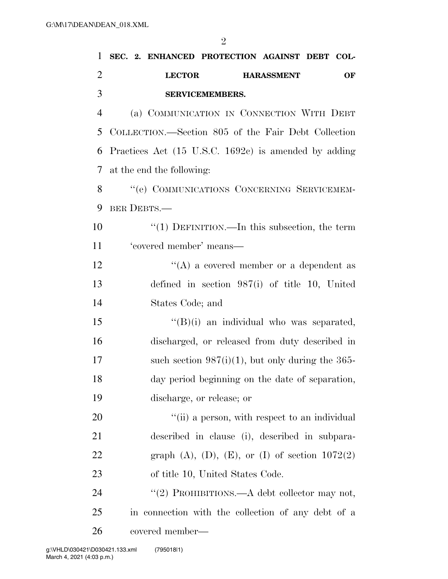| 1              | SEC. 2. ENHANCED PROTECTION AGAINST DEBT COL-                   |
|----------------|-----------------------------------------------------------------|
| $\overline{c}$ | <b>LECTOR</b><br>OF<br><b>HARASSMENT</b>                        |
| 3              | SERVICEMEMBERS.                                                 |
| $\overline{4}$ | (a) COMMUNICATION IN CONNECTION WITH DEBT                       |
| 5              | COLLECTION.—Section 805 of the Fair Debt Collection             |
| 6              | Practices Act $(15 \text{ U.S.C. } 1692c)$ is amended by adding |
| 7              | at the end the following:                                       |
| 8              | "(e) COMMUNICATIONS CONCERNING SERVICEMEM-                      |
| 9              | BER DEBTS.-                                                     |
| 10             | " $(1)$ DEFINITION.—In this subsection, the term                |
| 11             | 'covered member' means-                                         |
| 12             | "(A) a covered member or a dependent as                         |
| 13             | defined in section $987(i)$ of title 10, United                 |
| 14             | States Code; and                                                |
| 15             | $\lq\lq(B)(i)$ an individual who was separated,                 |
| 16             | discharged, or released from duty described in                  |
| 17             | such section $987(i)(1)$ , but only during the 365-             |
| 18             | day period beginning on the date of separation,                 |
| 19             | discharge, or release; or                                       |
| 20             | "(ii) a person, with respect to an individual                   |
| 21             | described in clause (i), described in subpara-                  |
| 22             | graph $(A)$ , $(D)$ , $(E)$ , or $(I)$ of section $1072(2)$     |
| 23             | of title 10, United States Code.                                |
| 24             | "(2) PROHIBITIONS.—A debt collector may not,                    |
| 25             | in connection with the collection of any debt of a              |
| 26             | covered member—                                                 |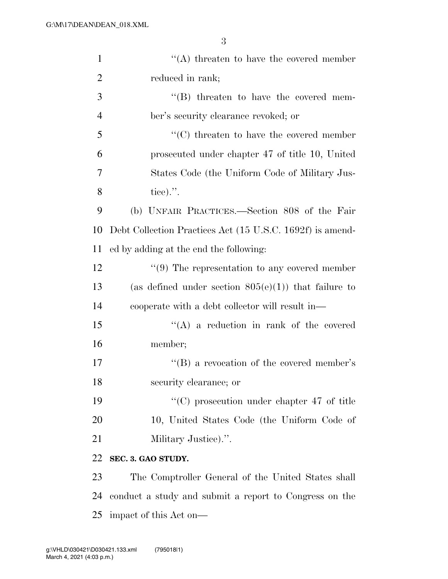3

| $\mathbf{1}$   | $\lq\lq$ threaten to have the covered member              |
|----------------|-----------------------------------------------------------|
| $\overline{2}$ | reduced in rank;                                          |
| 3              | $\lq\lq$ threaten to have the covered mem-                |
| $\overline{4}$ | ber's security clearance revoked; or                      |
| 5              | $\lq\lq$ threaten to have the covered member              |
| 6              | prosecuted under chapter 47 of title 10, United           |
| 7              | States Code (the Uniform Code of Military Jus-            |
| 8              | tice).".                                                  |
| 9              | (b) UNFAIR PRACTICES.—Section 808 of the Fair             |
| 10             | Debt Collection Practices Act (15 U.S.C. 1692f) is amend- |
| 11             | ed by adding at the end the following:                    |
| 12             | $\lq(9)$ The representation to any covered member         |
| 13             | (as defined under section $805(e)(1)$ ) that failure to   |
| 14             | cooperate with a debt collector will result in—           |
| 15             | $\lq\lq$ a reduction in rank of the covered               |
| 16             | member;                                                   |
| 17             | "(B) a revocation of the covered member's                 |
| 18             | security clearance; or                                    |
| 19             | $\cdot\cdot$ (C) prosecution under chapter 47 of title    |
| 20             | 10, United States Code (the Uniform Code of               |
| 21             | Military Justice).".                                      |
| 22             | SEC. 3. GAO STUDY.                                        |
| 23             | The Comptroller General of the United States shall        |
| 24             | conduct a study and submit a report to Congress on the    |
| 25             | impact of this Act on—                                    |